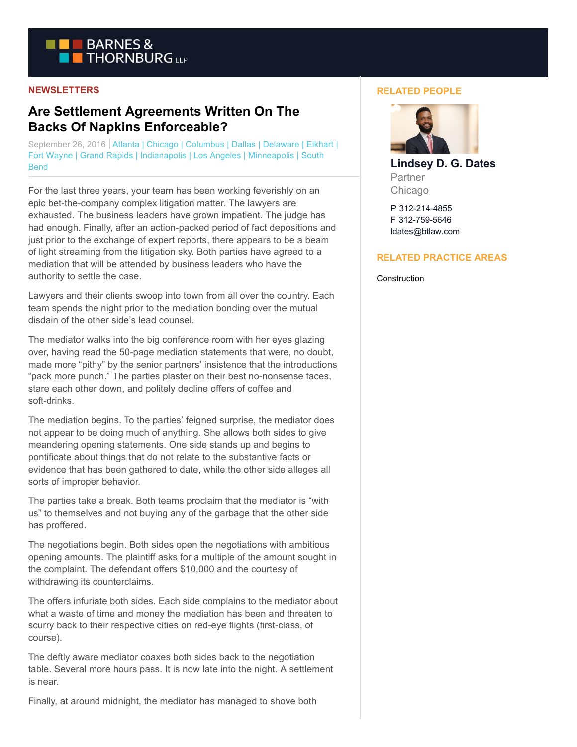

## **NEWSLETTERS**

# **Are Settlement Agreements Written On The Backs Of Napkins Enforceable?**

September 26, 2016 Atlanta | Chicago | Columbus | Dallas | Delaware | Elkhart | Fort Wayne | Grand Rapids | Indianapolis | Los Angeles | Minneapolis | South **Bend** 

For the last three years, your team has been working feverishly on an epic bet-the-company complex litigation matter. The lawyers are exhausted. The business leaders have grown impatient. The judge has had enough. Finally, after an action-packed period of fact depositions and just prior to the exchange of expert reports, there appears to be a beam of light streaming from the litigation sky. Both parties have agreed to a mediation that will be attended by business leaders who have the authority to settle the case.

Lawyers and their clients swoop into town from all over the country. Each team spends the night prior to the mediation bonding over the mutual disdain of the other side's lead counsel.

The mediator walks into the big conference room with her eyes glazing over, having read the 50-page mediation statements that were, no doubt, made more "pithy" by the senior partners' insistence that the introductions "pack more punch." The parties plaster on their best no-nonsense faces, stare each other down, and politely decline offers of coffee and soft-drinks.

The mediation begins. To the parties' feigned surprise, the mediator does not appear to be doing much of anything. She allows both sides to give meandering opening statements. One side stands up and begins to pontificate about things that do not relate to the substantive facts or evidence that has been gathered to date, while the other side alleges all sorts of improper behavior.

The parties take a break. Both teams proclaim that the mediator is "with us" to themselves and not buying any of the garbage that the other side has proffered.

The negotiations begin. Both sides open the negotiations with ambitious opening amounts. The plaintiff asks for a multiple of the amount sought in the complaint. The defendant offers \$10,000 and the courtesy of withdrawing its counterclaims.

The offers infuriate both sides. Each side complains to the mediator about what a waste of time and money the mediation has been and threaten to scurry back to their respective cities on red-eye flights (first-class, of course).

The deftly aware mediator coaxes both sides back to the negotiation table. Several more hours pass. It is now late into the night. A settlement is near.

Finally, at around midnight, the mediator has managed to shove both

### **RELATED PEOPLE**



**Lindsey D. G. Dates** Partner Chicago

P 312-214-4855 F 312-759-5646 ldates@btlaw.com

### **RELATED PRACTICE AREAS**

**Construction**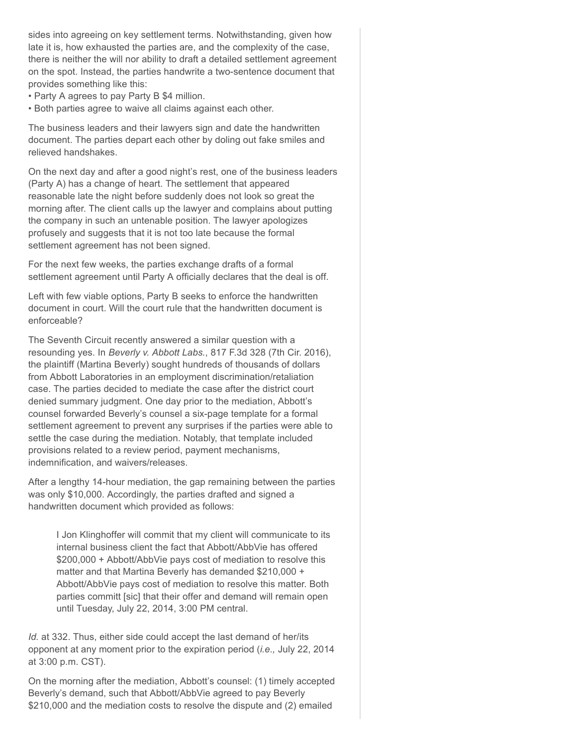sides into agreeing on key settlement terms. Notwithstanding, given how late it is, how exhausted the parties are, and the complexity of the case, there is neither the will nor ability to draft a detailed settlement agreement on the spot. Instead, the parties handwrite a two-sentence document that provides something like this:

• Party A agrees to pay Party B \$4 million.

• Both parties agree to waive all claims against each other.

The business leaders and their lawyers sign and date the handwritten document. The parties depart each other by doling out fake smiles and relieved handshakes.

On the next day and after a good night's rest, one of the business leaders (Party A) has a change of heart. The settlement that appeared reasonable late the night before suddenly does not look so great the morning after. The client calls up the lawyer and complains about putting the company in such an untenable position. The lawyer apologizes profusely and suggests that it is not too late because the formal settlement agreement has not been signed.

For the next few weeks, the parties exchange drafts of a formal settlement agreement until Party A officially declares that the deal is off.

Left with few viable options, Party B seeks to enforce the handwritten document in court. Will the court rule that the handwritten document is enforceable?

The Seventh Circuit recently answered a similar question with a resounding yes. In *Beverly v. Abbott Labs.*, 817 F.3d 328 (7th Cir. 2016), the plaintiff (Martina Beverly) sought hundreds of thousands of dollars from Abbott Laboratories in an employment discrimination/retaliation case. The parties decided to mediate the case after the district court denied summary judgment. One day prior to the mediation, Abbott's counsel forwarded Beverly's counsel a six-page template for a formal settlement agreement to prevent any surprises if the parties were able to settle the case during the mediation. Notably, that template included provisions related to a review period, payment mechanisms, indemnification, and waivers/releases.

After a lengthy 14-hour mediation, the gap remaining between the parties was only \$10,000. Accordingly, the parties drafted and signed a handwritten document which provided as follows:

I Jon Klinghoffer will commit that my client will communicate to its internal business client the fact that Abbott/AbbVie has offered \$200,000 + Abbott/AbbVie pays cost of mediation to resolve this matter and that Martina Beverly has demanded \$210,000 + Abbott/AbbVie pays cost of mediation to resolve this matter. Both parties committ [sic] that their offer and demand will remain open until Tuesday, July 22, 2014, 3:00 PM central.

*Id.* at 332. Thus, either side could accept the last demand of her/its opponent at any moment prior to the expiration period (*i.e.,* July 22, 2014 at 3:00 p.m. CST).

On the morning after the mediation, Abbott's counsel: (1) timely accepted Beverly's demand, such that Abbott/AbbVie agreed to pay Beverly \$210,000 and the mediation costs to resolve the dispute and (2) emailed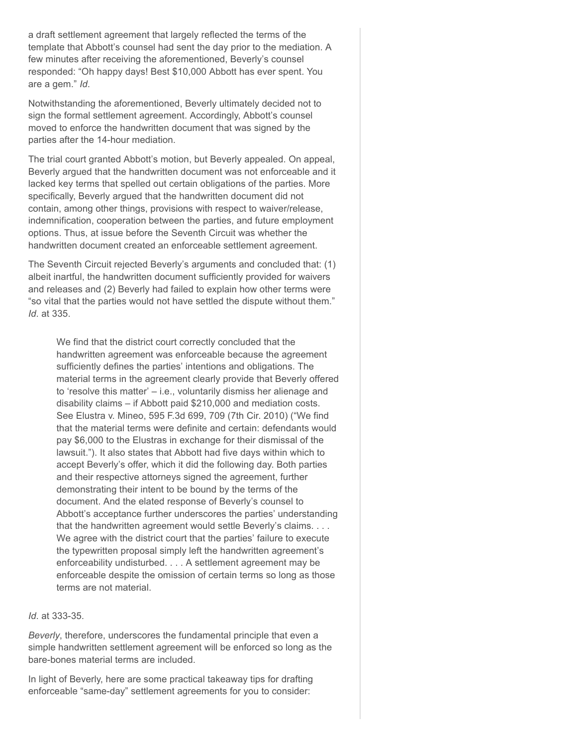a draft settlement agreement that largely reflected the terms of the template that Abbott's counsel had sent the day prior to the mediation. A few minutes after receiving the aforementioned, Beverly's counsel responded: "Oh happy days! Best \$10,000 Abbott has ever spent. You are a gem." *Id*.

Notwithstanding the aforementioned, Beverly ultimately decided not to sign the formal settlement agreement. Accordingly, Abbott's counsel moved to enforce the handwritten document that was signed by the parties after the 14-hour mediation.

The trial court granted Abbott's motion, but Beverly appealed. On appeal, Beverly argued that the handwritten document was not enforceable and it lacked key terms that spelled out certain obligations of the parties. More specifically, Beverly argued that the handwritten document did not contain, among other things, provisions with respect to waiver/release, indemnification, cooperation between the parties, and future employment options. Thus, at issue before the Seventh Circuit was whether the handwritten document created an enforceable settlement agreement.

The Seventh Circuit rejected Beverly's arguments and concluded that: (1) albeit inartful, the handwritten document sufficiently provided for waivers and releases and (2) Beverly had failed to explain how other terms were "so vital that the parties would not have settled the dispute without them." *Id*. at 335.

We find that the district court correctly concluded that the handwritten agreement was enforceable because the agreement sufficiently defines the parties' intentions and obligations. The material terms in the agreement clearly provide that Beverly offered to 'resolve this matter' – i.e., voluntarily dismiss her alienage and disability claims – if Abbott paid \$210,000 and mediation costs. See Elustra v. Mineo, 595 F.3d 699, 709 (7th Cir. 2010) ("We find that the material terms were definite and certain: defendants would pay \$6,000 to the Elustras in exchange for their dismissal of the lawsuit."). It also states that Abbott had five days within which to accept Beverly's offer, which it did the following day. Both parties and their respective attorneys signed the agreement, further demonstrating their intent to be bound by the terms of the document. And the elated response of Beverly's counsel to Abbott's acceptance further underscores the parties' understanding that the handwritten agreement would settle Beverly's claims. . . . We agree with the district court that the parties' failure to execute the typewritten proposal simply left the handwritten agreement's enforceability undisturbed. . . . A settlement agreement may be enforceable despite the omission of certain terms so long as those terms are not material.

## *Id*. at 333-35.

*Beverly*, therefore, underscores the fundamental principle that even a simple handwritten settlement agreement will be enforced so long as the bare-bones material terms are included.

In light of Beverly, here are some practical takeaway tips for drafting enforceable "same-day" settlement agreements for you to consider: